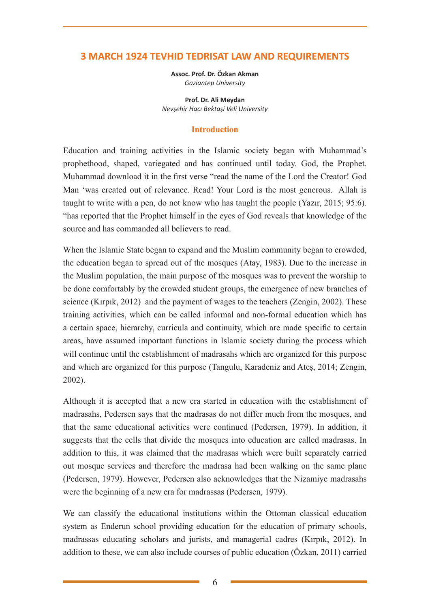# **3 MARCH 1924 TEVHID TEDRISAT LAW AND REQUIREMENTS**

**Assoc. Prof. Dr. Özkan Akman** *Gaziantep University*

**Prof. Dr. Ali Meydan** *Nevşehir Hacı Bektaşi Veli University*

#### **Introduction**

Education and training activities in the Islamic society began with Muhammad's prophethood, shaped, variegated and has continued until today. God, the Prophet. Muhammad download it in the first verse "read the name of the Lord the Creator! God Man 'was created out of relevance. Read! Your Lord is the most generous. Allah is taught to write with a pen, do not know who has taught the people (Yazır, 2015; 95:6). "has reported that the Prophet himself in the eyes of God reveals that knowledge of the source and has commanded all believers to read.

When the Islamic State began to expand and the Muslim community began to crowded, the education began to spread out of the mosques (Atay, 1983). Due to the increase in the Muslim population, the main purpose of the mosques was to prevent the worship to be done comfortably by the crowded student groups, the emergence of new branches of science (Kırpık, 2012) and the payment of wages to the teachers (Zengin, 2002). These training activities, which can be called informal and non-formal education which has a certain space, hierarchy, curricula and continuity, which are made specific to certain areas, have assumed important functions in Islamic society during the process which will continue until the establishment of madrasahs which are organized for this purpose and which are organized for this purpose (Tangulu, Karadeniz and Ateş, 2014; Zengin, 2002).

Although it is accepted that a new era started in education with the establishment of madrasahs, Pedersen says that the madrasas do not differ much from the mosques, and that the same educational activities were continued (Pedersen, 1979). In addition, it suggests that the cells that divide the mosques into education are called madrasas. In addition to this, it was claimed that the madrasas which were built separately carried out mosque services and therefore the madrasa had been walking on the same plane (Pedersen, 1979). However, Pedersen also acknowledges that the Nizamiye madrasahs were the beginning of a new era for madrassas (Pedersen, 1979).

We can classify the educational institutions within the Ottoman classical education system as Enderun school providing education for the education of primary schools, madrassas educating scholars and jurists, and managerial cadres (Kırpık, 2012). In addition to these, we can also include courses of public education (Özkan, 2011) carried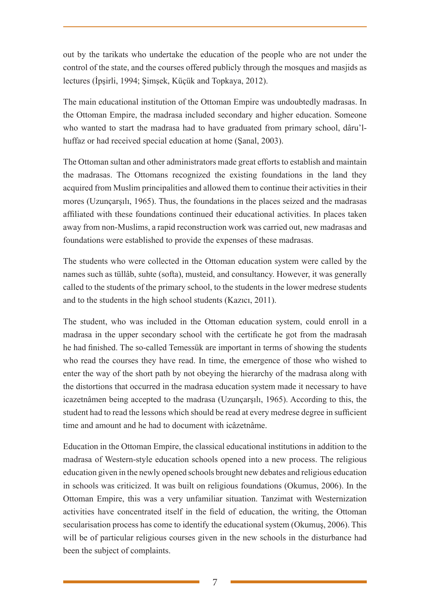out by the tarikats who undertake the education of the people who are not under the control of the state, and the courses offered publicly through the mosques and masjids as lectures (İpşirli, 1994; Şimşek, Küçük and Topkaya, 2012).

The main educational institution of the Ottoman Empire was undoubtedly madrasas. In the Ottoman Empire, the madrasa included secondary and higher education. Someone who wanted to start the madrasa had to have graduated from primary school, dâru'lhuffaz or had received special education at home (Şanal, 2003).

The Ottoman sultan and other administrators made great efforts to establish and maintain the madrasas. The Ottomans recognized the existing foundations in the land they acquired from Muslim principalities and allowed them to continue their activities in their mores (Uzunçarşılı, 1965). Thus, the foundations in the places seized and the madrasas affiliated with these foundations continued their educational activities. In places taken away from non-Muslims, a rapid reconstruction work was carried out, new madrasas and foundations were established to provide the expenses of these madrasas.

The students who were collected in the Ottoman education system were called by the names such as tüllâb, suhte (softa), musteid, and consultancy. However, it was generally called to the students of the primary school, to the students in the lower medrese students and to the students in the high school students (Kazıcı, 2011).

The student, who was included in the Ottoman education system, could enroll in a madrasa in the upper secondary school with the certificate he got from the madrasah he had finished. The so-called Temessük are important in terms of showing the students who read the courses they have read. In time, the emergence of those who wished to enter the way of the short path by not obeying the hierarchy of the madrasa along with the distortions that occurred in the madrasa education system made it necessary to have icazetnâmen being accepted to the madrasa (Uzunçarşılı, 1965). According to this, the student had to read the lessons which should be read at every medrese degree in sufficient time and amount and he had to document with icâzetnâme.

Education in the Ottoman Empire, the classical educational institutions in addition to the madrasa of Western-style education schools opened into a new process. The religious education given in the newly opened schools brought new debates and religious education in schools was criticized. It was built on religious foundations (Okumus, 2006). In the Ottoman Empire, this was a very unfamiliar situation. Tanzimat with Westernization activities have concentrated itself in the field of education, the writing, the Ottoman secularisation process has come to identify the educational system (Okumuş, 2006). This will be of particular religious courses given in the new schools in the disturbance had been the subject of complaints.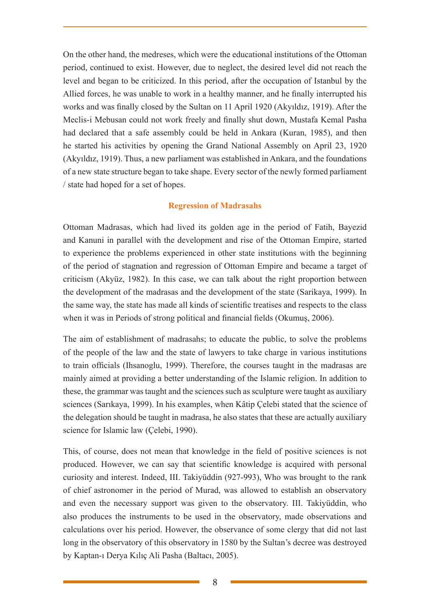On the other hand, the medreses, which were the educational institutions of the Ottoman period, continued to exist. However, due to neglect, the desired level did not reach the level and began to be criticized. In this period, after the occupation of Istanbul by the Allied forces, he was unable to work in a healthy manner, and he finally interrupted his works and was finally closed by the Sultan on 11 April 1920 (Akyıldız, 1919). After the Meclis-i Mebusan could not work freely and finally shut down, Mustafa Kemal Pasha had declared that a safe assembly could be held in Ankara (Kuran, 1985), and then he started his activities by opening the Grand National Assembly on April 23, 1920 (Akyıldız, 1919). Thus, a new parliament was established in Ankara, and the foundations of a new state structure began to take shape. Every sector of the newly formed parliament / state had hoped for a set of hopes.

#### **Regression of Madrasahs**

Ottoman Madrasas, which had lived its golden age in the period of Fatih, Bayezid and Kanuni in parallel with the development and rise of the Ottoman Empire, started to experience the problems experienced in other state institutions with the beginning of the period of stagnation and regression of Ottoman Empire and became a target of criticism (Akyüz, 1982). In this case, we can talk about the right proportion between the development of the madrasas and the development of the state (Sarikaya, 1999). In the same way, the state has made all kinds of scientific treatises and respects to the class when it was in Periods of strong political and financial fields (Okumuş, 2006).

The aim of establishment of madrasahs; to educate the public, to solve the problems of the people of the law and the state of lawyers to take charge in various institutions to train officials (Ihsanoglu, 1999). Therefore, the courses taught in the madrasas are mainly aimed at providing a better understanding of the Islamic religion. In addition to these, the grammar was taught and the sciences such as sculpture were taught as auxiliary sciences (Sarıkaya, 1999). In his examples, when Kâtip Çelebi stated that the science of the delegation should be taught in madrasa, he also states that these are actually auxiliary science for Islamic law (Çelebi, 1990).

This, of course, does not mean that knowledge in the field of positive sciences is not produced. However, we can say that scientific knowledge is acquired with personal curiosity and interest. Indeed, III. Takiyüddin (927-993), Who was brought to the rank of chief astronomer in the period of Murad, was allowed to establish an observatory and even the necessary support was given to the observatory. III. Takiyüddin, who also produces the instruments to be used in the observatory, made observations and calculations over his period. However, the observance of some clergy that did not last long in the observatory of this observatory in 1580 by the Sultan's decree was destroyed by Kaptan-ı Derya Kılıç Ali Pasha (Baltacı, 2005).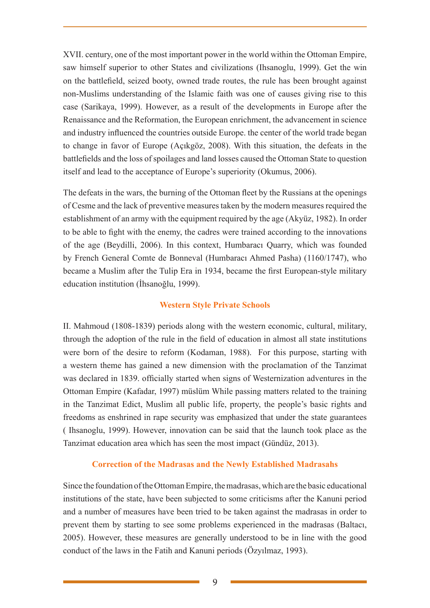XVII. century, one of the most important power in the world within the Ottoman Empire, saw himself superior to other States and civilizations (Ihsanoglu, 1999). Get the win on the battlefield, seized booty, owned trade routes, the rule has been brought against non-Muslims understanding of the Islamic faith was one of causes giving rise to this case (Sarikaya, 1999). However, as a result of the developments in Europe after the Renaissance and the Reformation, the European enrichment, the advancement in science and industry influenced the countries outside Europe. the center of the world trade began to change in favor of Europe (Açıkgöz, 2008). With this situation, the defeats in the battlefields and the loss of spoilages and land losses caused the Ottoman State to question itself and lead to the acceptance of Europe's superiority (Okumus, 2006).

The defeats in the wars, the burning of the Ottoman fleet by the Russians at the openings of Cesme and the lack of preventive measures taken by the modern measures required the establishment of an army with the equipment required by the age (Akyüz, 1982). In order to be able to fight with the enemy, the cadres were trained according to the innovations of the age (Beydilli, 2006). In this context, Humbaracı Quarry, which was founded by French General Comte de Bonneval (Humbaracı Ahmed Pasha) (1160/1747), who became a Muslim after the Tulip Era in 1934, became the first European-style military education institution (İhsanoğlu, 1999).

### **Western Style Private Schools**

II. Mahmoud (1808-1839) periods along with the western economic, cultural, military, through the adoption of the rule in the field of education in almost all state institutions were born of the desire to reform (Kodaman, 1988). For this purpose, starting with a western theme has gained a new dimension with the proclamation of the Tanzimat was declared in 1839. officially started when signs of Westernization adventures in the Ottoman Empire (Kafadar, 1997) müslüm While passing matters related to the training in the Tanzimat Edict, Muslim all public life, property, the people's basic rights and freedoms as enshrined in rape security was emphasized that under the state guarantees ( Ihsanoglu, 1999). However, innovation can be said that the launch took place as the Tanzimat education area which has seen the most impact (Gündüz, 2013).

### **Correction of the Madrasas and the Newly Established Madrasahs**

Since the foundation of the Ottoman Empire, the madrasas, which are the basic educational institutions of the state, have been subjected to some criticisms after the Kanuni period and a number of measures have been tried to be taken against the madrasas in order to prevent them by starting to see some problems experienced in the madrasas (Baltacı, 2005). However, these measures are generally understood to be in line with the good conduct of the laws in the Fatih and Kanuni periods (Özyılmaz, 1993).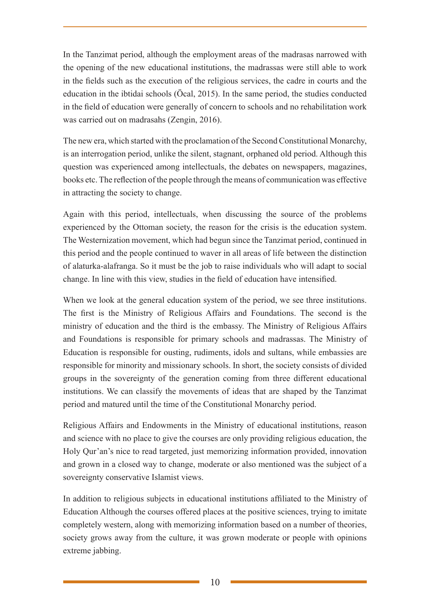In the Tanzimat period, although the employment areas of the madrasas narrowed with the opening of the new educational institutions, the madrassas were still able to work in the fields such as the execution of the religious services, the cadre in courts and the education in the ibtidai schools (Öcal, 2015). In the same period, the studies conducted in the field of education were generally of concern to schools and no rehabilitation work was carried out on madrasahs (Zengin, 2016).

The new era, which started with the proclamation of the Second Constitutional Monarchy, is an interrogation period, unlike the silent, stagnant, orphaned old period. Although this question was experienced among intellectuals, the debates on newspapers, magazines, books etc. The reflection of the people through the means of communication was effective in attracting the society to change.

Again with this period, intellectuals, when discussing the source of the problems experienced by the Ottoman society, the reason for the crisis is the education system. The Westernization movement, which had begun since the Tanzimat period, continued in this period and the people continued to waver in all areas of life between the distinction of alaturka-alafranga. So it must be the job to raise individuals who will adapt to social change. In line with this view, studies in the field of education have intensified.

When we look at the general education system of the period, we see three institutions. The first is the Ministry of Religious Affairs and Foundations. The second is the ministry of education and the third is the embassy. The Ministry of Religious Affairs and Foundations is responsible for primary schools and madrassas. The Ministry of Education is responsible for ousting, rudiments, idols and sultans, while embassies are responsible for minority and missionary schools. In short, the society consists of divided groups in the sovereignty of the generation coming from three different educational institutions. We can classify the movements of ideas that are shaped by the Tanzimat period and matured until the time of the Constitutional Monarchy period.

Religious Affairs and Endowments in the Ministry of educational institutions, reason and science with no place to give the courses are only providing religious education, the Holy Qur'an's nice to read targeted, just memorizing information provided, innovation and grown in a closed way to change, moderate or also mentioned was the subject of a sovereignty conservative Islamist views.

In addition to religious subjects in educational institutions affiliated to the Ministry of Education Although the courses offered places at the positive sciences, trying to imitate completely western, along with memorizing information based on a number of theories, society grows away from the culture, it was grown moderate or people with opinions extreme jabbing.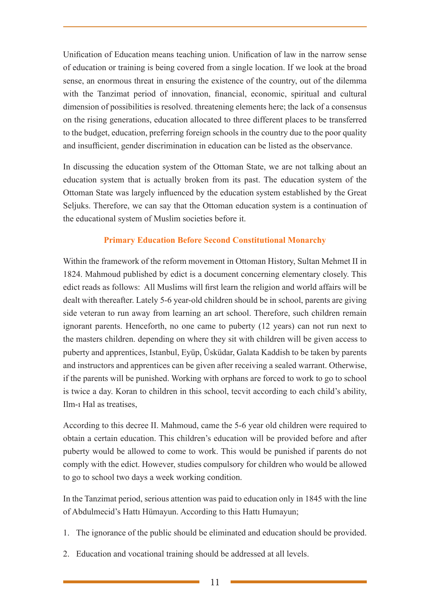Unification of Education means teaching union. Unification of law in the narrow sense of education or training is being covered from a single location. If we look at the broad sense, an enormous threat in ensuring the existence of the country, out of the dilemma with the Tanzimat period of innovation, financial, economic, spiritual and cultural dimension of possibilities is resolved. threatening elements here; the lack of a consensus on the rising generations, education allocated to three different places to be transferred to the budget, education, preferring foreign schools in the country due to the poor quality and insufficient, gender discrimination in education can be listed as the observance.

In discussing the education system of the Ottoman State, we are not talking about an education system that is actually broken from its past. The education system of the Ottoman State was largely influenced by the education system established by the Great Seljuks. Therefore, we can say that the Ottoman education system is a continuation of the educational system of Muslim societies before it.

# **Primary Education Before Second Constitutional Monarchy**

Within the framework of the reform movement in Ottoman History, Sultan Mehmet II in 1824. Mahmoud published by edict is a document concerning elementary closely. This edict reads as follows: All Muslims will first learn the religion and world affairs will be dealt with thereafter. Lately 5-6 year-old children should be in school, parents are giving side veteran to run away from learning an art school. Therefore, such children remain ignorant parents. Henceforth, no one came to puberty (12 years) can not run next to the masters children. depending on where they sit with children will be given access to puberty and apprentices, Istanbul, Eyüp, Üsküdar, Galata Kaddish to be taken by parents and instructors and apprentices can be given after receiving a sealed warrant. Otherwise, if the parents will be punished. Working with orphans are forced to work to go to school is twice a day. Koran to children in this school, tecvit according to each child's ability, Ilm-ı Hal as treatises,

According to this decree II. Mahmoud, came the 5-6 year old children were required to obtain a certain education. This children's education will be provided before and after puberty would be allowed to come to work. This would be punished if parents do not comply with the edict. However, studies compulsory for children who would be allowed to go to school two days a week working condition.

In the Tanzimat period, serious attention was paid to education only in 1845 with the line of Abdulmecid's Hattı Hümayun. According to this Hattı Humayun;

- 1. The ignorance of the public should be eliminated and education should be provided.
- 2. Education and vocational training should be addressed at all levels.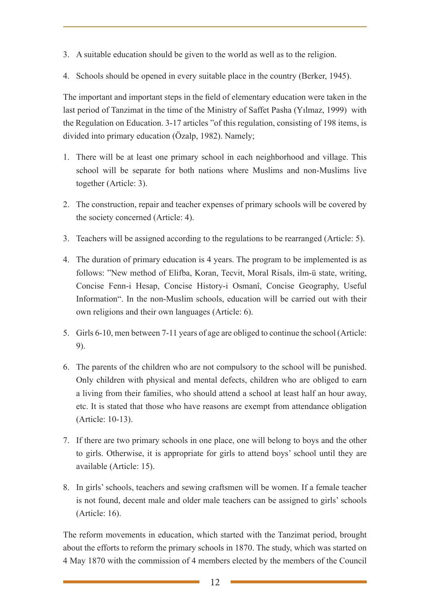- 3. A suitable education should be given to the world as well as to the religion.
- 4. Schools should be opened in every suitable place in the country (Berker, 1945).

The important and important steps in the field of elementary education were taken in the last period of Tanzimat in the time of the Ministry of Saffet Pasha (Yılmaz, 1999) with the Regulation on Education. 3-17 articles "of this regulation, consisting of 198 items, is divided into primary education (Özalp, 1982). Namely;

- 1. There will be at least one primary school in each neighborhood and village. This school will be separate for both nations where Muslims and non-Muslims live together (Article: 3).
- 2. The construction, repair and teacher expenses of primary schools will be covered by the society concerned (Article: 4).
- 3. Teachers will be assigned according to the regulations to be rearranged (Article: 5).
- 4. The duration of primary education is 4 years. The program to be implemented is as follows: "New method of Elifba, Koran, Tecvit, Moral Risals, ilm-ü state, writing, Concise Fenn-i Hesap, Concise History-i Osmanî, Concise Geography, Useful Information". In the non-Muslim schools, education will be carried out with their own religions and their own languages (Article: 6).
- 5. Girls 6-10, men between 7-11 years of age are obliged to continue the school (Article: 9).
- 6. The parents of the children who are not compulsory to the school will be punished. Only children with physical and mental defects, children who are obliged to earn a living from their families, who should attend a school at least half an hour away, etc. It is stated that those who have reasons are exempt from attendance obligation (Article: 10-13).
- 7. If there are two primary schools in one place, one will belong to boys and the other to girls. Otherwise, it is appropriate for girls to attend boys' school until they are available (Article: 15).
- 8. In girls' schools, teachers and sewing craftsmen will be women. If a female teacher is not found, decent male and older male teachers can be assigned to girls' schools (Article: 16).

The reform movements in education, which started with the Tanzimat period, brought about the efforts to reform the primary schools in 1870. The study, which was started on 4 May 1870 with the commission of 4 members elected by the members of the Council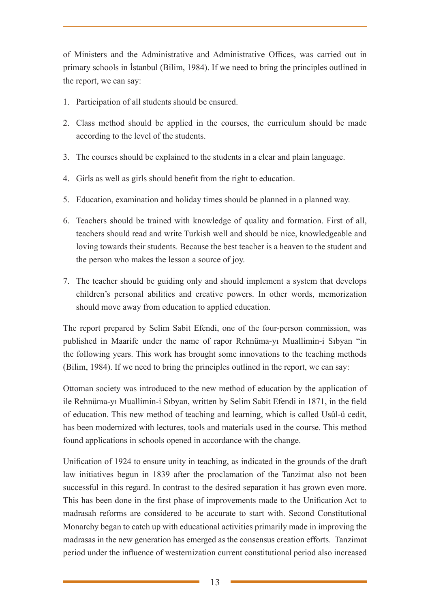of Ministers and the Administrative and Administrative Offices, was carried out in primary schools in İstanbul (Bilim, 1984). If we need to bring the principles outlined in the report, we can say:

- 1. Participation of all students should be ensured.
- 2. Class method should be applied in the courses, the curriculum should be made according to the level of the students.
- 3. The courses should be explained to the students in a clear and plain language.
- 4. Girls as well as girls should benefit from the right to education.
- 5. Education, examination and holiday times should be planned in a planned way.
- 6. Teachers should be trained with knowledge of quality and formation. First of all, teachers should read and write Turkish well and should be nice, knowledgeable and loving towards their students. Because the best teacher is a heaven to the student and the person who makes the lesson a source of joy.
- 7. The teacher should be guiding only and should implement a system that develops children's personal abilities and creative powers. In other words, memorization should move away from education to applied education.

The report prepared by Selim Sabit Efendi, one of the four-person commission, was published in Maarife under the name of rapor Rehnüma-yı Muallimin-i Sıbyan "in the following years. This work has brought some innovations to the teaching methods (Bilim, 1984). If we need to bring the principles outlined in the report, we can say:

Ottoman society was introduced to the new method of education by the application of ile Rehnüma-yı Muallimin-i Sıbyan, written by Selim Sabit Efendi in 1871, in the field of education. This new method of teaching and learning, which is called Usûl-ü cedit, has been modernized with lectures, tools and materials used in the course. This method found applications in schools opened in accordance with the change.

Unification of 1924 to ensure unity in teaching, as indicated in the grounds of the draft law initiatives begun in 1839 after the proclamation of the Tanzimat also not been successful in this regard. In contrast to the desired separation it has grown even more. This has been done in the first phase of improvements made to the Unification Act to madrasah reforms are considered to be accurate to start with. Second Constitutional Monarchy began to catch up with educational activities primarily made in improving the madrasas in the new generation has emerged as the consensus creation efforts. Tanzimat period under the influence of westernization current constitutional period also increased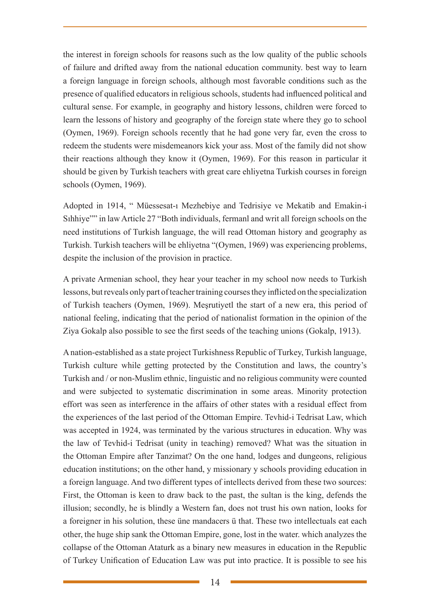the interest in foreign schools for reasons such as the low quality of the public schools of failure and drifted away from the national education community. best way to learn a foreign language in foreign schools, although most favorable conditions such as the presence of qualified educators in religious schools, students had influenced political and cultural sense. For example, in geography and history lessons, children were forced to learn the lessons of history and geography of the foreign state where they go to school (Oymen, 1969). Foreign schools recently that he had gone very far, even the cross to redeem the students were misdemeanors kick your ass. Most of the family did not show their reactions although they know it (Oymen, 1969). For this reason in particular it should be given by Turkish teachers with great care ehliyetna Turkish courses in foreign schools (Oymen, 1969).

Adopted in 1914, " Müessesat-ı Mezhebiye and Tedrisiye ve Mekatib and Emakin-i Sıhhiye"" in law Article 27 "Both individuals, fermanl and writ all foreign schools on the need institutions of Turkish language, the will read Ottoman history and geography as Turkish. Turkish teachers will be ehliyetna "(Oymen, 1969) was experiencing problems, despite the inclusion of the provision in practice.

A private Armenian school, they hear your teacher in my school now needs to Turkish lessons, but reveals only part of teacher training courses they inflicted on the specialization of Turkish teachers (Oymen, 1969). Meşrutiyetl the start of a new era, this period of national feeling, indicating that the period of nationalist formation in the opinion of the Ziya Gokalp also possible to see the first seeds of the teaching unions (Gokalp, 1913).

A nation-established as a state project Turkishness Republic of Turkey, Turkish language, Turkish culture while getting protected by the Constitution and laws, the country's Turkish and / or non-Muslim ethnic, linguistic and no religious community were counted and were subjected to systematic discrimination in some areas. Minority protection effort was seen as interference in the affairs of other states with a residual effect from the experiences of the last period of the Ottoman Empire. Tevhid-i Tedrisat Law, which was accepted in 1924, was terminated by the various structures in education. Why was the law of Tevhid-i Tedrisat (unity in teaching) removed? What was the situation in the Ottoman Empire after Tanzimat? On the one hand, lodges and dungeons, religious education institutions; on the other hand, y missionary y schools providing education in a foreign language. And two different types of intellects derived from these two sources: First, the Ottoman is keen to draw back to the past, the sultan is the king, defends the illusion; secondly, he is blindly a Western fan, does not trust his own nation, looks for a foreigner in his solution, these üne mandacers ü that. These two intellectuals eat each other, the huge ship sank the Ottoman Empire, gone, lost in the water. which analyzes the collapse of the Ottoman Ataturk as a binary new measures in education in the Republic of Turkey Unification of Education Law was put into practice. It is possible to see his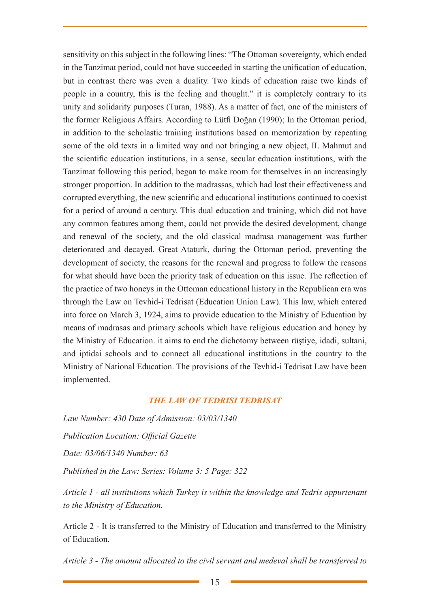sensitivity on this subject in the following lines: "The Ottoman sovereignty, which ended in the Tanzimat period, could not have succeeded in starting the unification of education, but in contrast there was even a duality. Two kinds of education raise two kinds of people in a country, this is the feeling and thought." it is completely contrary to its unity and solidarity purposes (Turan, 1988). As a matter of fact, one of the ministers of the former Religious Affairs. According to Lütfi Doğan (1990); In the Ottoman period, in addition to the scholastic training institutions based on memorization by repeating some of the old texts in a limited way and not bringing a new object, II. Mahmut and the scientific education institutions, in a sense, secular education institutions, with the Tanzimat following this period, began to make room for themselves in an increasingly stronger proportion. In addition to the madrassas, which had lost their effectiveness and corrupted everything, the new scientific and educational institutions continued to coexist for a period of around a century. This dual education and training, which did not have any common features among them, could not provide the desired development, change and renewal of the society, and the old classical madrasa management was further deteriorated and decayed. Great Ataturk, during the Ottoman period, preventing the development of society, the reasons for the renewal and progress to follow the reasons for what should have been the priority task of education on this issue. The reflection of the practice of two honeys in the Ottoman educational history in the Republican era was through the Law on Tevhid-i Tedrisat (Education Union Law). This law, which entered into force on March 3, 1924, aims to provide education to the Ministry of Education by means of madrasas and primary schools which have religious education and honey by the Ministry of Education. it aims to end the dichotomy between rüştiye, idadi, sultani, and iptidai schools and to connect all educational institutions in the country to the Ministry of National Education. The provisions of the Tevhid-i Tedrisat Law have been implemented.

#### *THE LAW OF TEDRISI TEDRISAT*

*Law Number: 430 Date of Admission: 03/03/1340 Publication Location: Official Gazette Date: 03/06/1340 Number: 63 Published in the Law: Series: Volume 3: 5 Page: 322*

*Article 1 - all institutions which Turkey is within the knowledge and Tedris appurtenant to the Ministry of Education.*

Article 2 - It is transferred to the Ministry of Education and transferred to the Ministry of Education.

*Article 3 - The amount allocated to the civil servant and medeval shall be transferred to*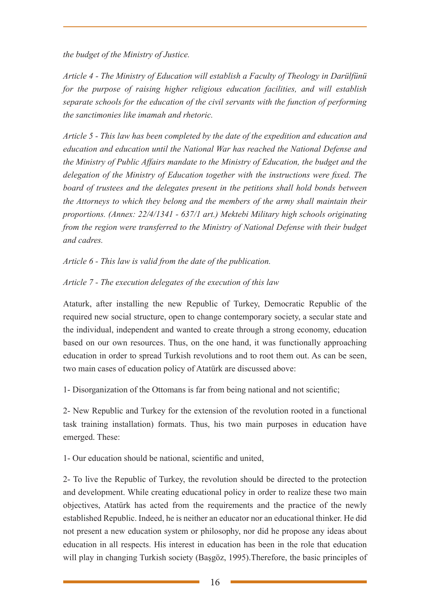*the budget of the Ministry of Justice.*

*Article 4 - The Ministry of Education will establish a Faculty of Theology in Darülfünü for the purpose of raising higher religious education facilities, and will establish separate schools for the education of the civil servants with the function of performing the sanctimonies like imamah and rhetoric.*

*Article 5 - This law has been completed by the date of the expedition and education and education and education until the National War has reached the National Defense and the Ministry of Public Affairs mandate to the Ministry of Education, the budget and the delegation of the Ministry of Education together with the instructions were fixed. The board of trustees and the delegates present in the petitions shall hold bonds between the Attorneys to which they belong and the members of the army shall maintain their proportions. (Annex: 22/4/1341 - 637/1 art.) Mektebi Military high schools originating from the region were transferred to the Ministry of National Defense with their budget and cadres.*

*Article 6 - This law is valid from the date of the publication.*

# *Article 7 - The execution delegates of the execution of this law*

Ataturk, after installing the new Republic of Turkey, Democratic Republic of the required new social structure, open to change contemporary society, a secular state and the individual, independent and wanted to create through a strong economy, education based on our own resources. Thus, on the one hand, it was functionally approaching education in order to spread Turkish revolutions and to root them out. As can be seen, two main cases of education policy of Atatürk are discussed above:

1- Disorganization of the Ottomans is far from being national and not scientific;

2- New Republic and Turkey for the extension of the revolution rooted in a functional task training installation) formats. Thus, his two main purposes in education have emerged. These:

1- Our education should be national, scientific and united,

2- To live the Republic of Turkey, the revolution should be directed to the protection and development. While creating educational policy in order to realize these two main objectives, Atatürk has acted from the requirements and the practice of the newly established Republic. Indeed, he is neither an educator nor an educational thinker. He did not present a new education system or philosophy, nor did he propose any ideas about education in all respects. His interest in education has been in the role that education will play in changing Turkish society (Başgöz, 1995). Therefore, the basic principles of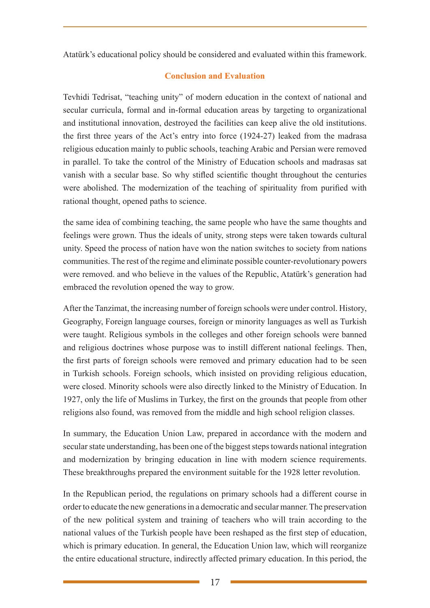Atatürk's educational policy should be considered and evaluated within this framework.

# **Conclusion and Evaluation**

Tevhidi Tedrisat, "teaching unity" of modern education in the context of national and secular curricula, formal and in-formal education areas by targeting to organizational and institutional innovation, destroyed the facilities can keep alive the old institutions. the first three years of the Act's entry into force (1924-27) leaked from the madrasa religious education mainly to public schools, teaching Arabic and Persian were removed in parallel. To take the control of the Ministry of Education schools and madrasas sat vanish with a secular base. So why stifled scientific thought throughout the centuries were abolished. The modernization of the teaching of spirituality from purified with rational thought, opened paths to science.

the same idea of combining teaching, the same people who have the same thoughts and feelings were grown. Thus the ideals of unity, strong steps were taken towards cultural unity. Speed the process of nation have won the nation switches to society from nations communities. The rest of the regime and eliminate possible counter-revolutionary powers were removed. and who believe in the values of the Republic, Atatürk's generation had embraced the revolution opened the way to grow.

After the Tanzimat, the increasing number of foreign schools were under control. History, Geography, Foreign language courses, foreign or minority languages as well as Turkish were taught. Religious symbols in the colleges and other foreign schools were banned and religious doctrines whose purpose was to instill different national feelings. Then, the first parts of foreign schools were removed and primary education had to be seen in Turkish schools. Foreign schools, which insisted on providing religious education, were closed. Minority schools were also directly linked to the Ministry of Education. In 1927, only the life of Muslims in Turkey, the first on the grounds that people from other religions also found, was removed from the middle and high school religion classes.

In summary, the Education Union Law, prepared in accordance with the modern and secular state understanding, has been one of the biggest steps towards national integration and modernization by bringing education in line with modern science requirements. These breakthroughs prepared the environment suitable for the 1928 letter revolution.

In the Republican period, the regulations on primary schools had a different course in order to educate the new generations in a democratic and secular manner. The preservation of the new political system and training of teachers who will train according to the national values of the Turkish people have been reshaped as the first step of education, which is primary education. In general, the Education Union law, which will reorganize the entire educational structure, indirectly affected primary education. In this period, the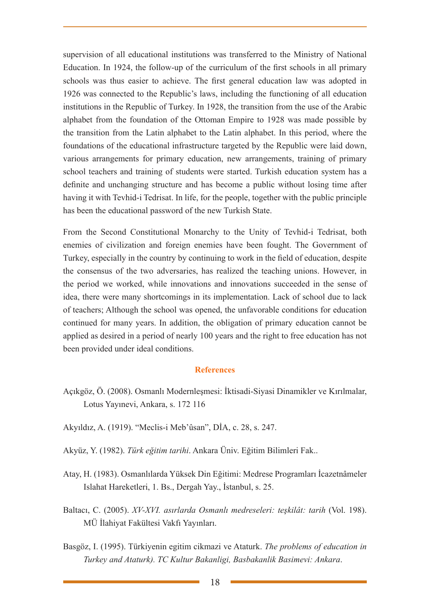supervision of all educational institutions was transferred to the Ministry of National Education. In 1924, the follow-up of the curriculum of the first schools in all primary schools was thus easier to achieve. The first general education law was adopted in 1926 was connected to the Republic's laws, including the functioning of all education institutions in the Republic of Turkey. In 1928, the transition from the use of the Arabic alphabet from the foundation of the Ottoman Empire to 1928 was made possible by the transition from the Latin alphabet to the Latin alphabet. In this period, where the foundations of the educational infrastructure targeted by the Republic were laid down, various arrangements for primary education, new arrangements, training of primary school teachers and training of students were started. Turkish education system has a definite and unchanging structure and has become a public without losing time after having it with Tevhid-i Tedrisat. In life, for the people, together with the public principle has been the educational password of the new Turkish State.

From the Second Constitutional Monarchy to the Unity of Tevhid-i Tedrisat, both enemies of civilization and foreign enemies have been fought. The Government of Turkey, especially in the country by continuing to work in the field of education, despite the consensus of the two adversaries, has realized the teaching unions. However, in the period we worked, while innovations and innovations succeeded in the sense of idea, there were many shortcomings in its implementation. Lack of school due to lack of teachers; Although the school was opened, the unfavorable conditions for education continued for many years. In addition, the obligation of primary education cannot be applied as desired in a period of nearly 100 years and the right to free education has not been provided under ideal conditions.

#### **References**

- Açıkgöz, Ö. (2008). Osmanlı Modernleşmesi: İktisadi-Siyasi Dinamikler ve Kırılmalar, Lotus Yayınevi, Ankara, s. 172 116
- Akyıldız, A. (1919). "Meclis-i Meb'ûsan", DİA, c. 28, s. 247.
- Akyüz, Y. (1982). *Türk eğitim tarihi*. Ankara Üniv. Eğitim Bilimleri Fak..
- Atay, H. (1983). Osmanlılarda Yüksek Din Eğitimi: Medrese Programları İcazetnâmeler Islahat Hareketleri, 1. Bs., Dergah Yay., İstanbul, s. 25.
- Baltacı, C. (2005). *XV-XVI. asırlarda Osmanlı medreseleri: teşkilât: tarih* (Vol. 198). MÜ İlahiyat Fakültesi Vakfı Yayınları.
- Basgöz, I. (1995). Türkiyenin egitim cikmazi ve Ataturk. *The problems of education in Turkey and Ataturk). TC Kultur Bakanligi, Basbakanlik Basimevi: Ankara*.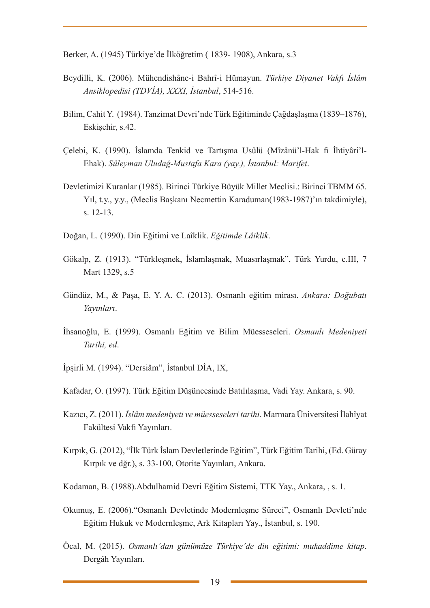Berker, A. (1945) Türkiye'de İlköğretim ( 1839- 1908), Ankara, s.3

- Beydilli, K. (2006). Mühendishâne-i Bahrî-i Hümayun. *Türkiye Diyanet Vakfı İslâm Ansiklopedisi (TDVİA), XXXI, İstanbul*, 514-516.
- Bilim, Cahit Y. (1984). Tanzimat Devri'nde Türk Eğitiminde Çağdaşlaşma (1839–1876), Eskişehir, s.42.
- Çelebi, K. (1990). İslamda Tenkid ve Tartışma Usûlü (Mîzânü'l-Hak fi İhtiyâri'l-Ehak). *Süleyman Uludağ-Mustafa Kara (yay.), İstanbul: Marifet*.
- Devletimizi Kuranlar (1985). Birinci Türkiye Büyük Millet Meclisi.: Birinci TBMM 65. Yıl, t.y., y.y., (Meclis Başkanı Necmettin Karaduman(1983-1987)'ın takdimiyle), s. 12-13.
- Doğan, L. (1990). Din Eğitimi ve Laîklik. *Eğitimde Lâiklik*.
- Gökalp, Z. (1913). "Türkleşmek, İslamlaşmak, Muasırlaşmak", Türk Yurdu, c.III, 7 Mart 1329, s.5
- Gündüz, M., & Paşa, E. Y. A. C. (2013). Osmanlı eğitim mirası. *Ankara: Doğubatı Yayınları*.
- İhsanoğlu, E. (1999). Osmanlı Eğitim ve Bilim Müesseseleri. *Osmanlı Medeniyeti Tarihi, ed*.
- İpşirli M. (1994). "Dersiâm", İstanbul DİA, IX,
- Kafadar, O. (1997). Türk Eğitim Düşüncesinde Batılılaşma, Vadi Yay. Ankara, s. 90.
- Kazıcı, Z. (2011). *İslâm medeniyeti ve müesseseleri tarihi*. Marmara Üniversitesi İlahîyat Fakültesi Vakfı Yayınları.
- Kırpık, G. (2012), "İlk Türk İslam Devletlerinde Eğitim", Türk Eğitim Tarihi, (Ed. Güray Kırpık ve dğr.), s. 33-100, Otorite Yayınları, Ankara.
- Kodaman, B. (1988).Abdulhamid Devri Eğitim Sistemi, TTK Yay., Ankara, , s. 1.
- Okumuş, E. (2006)."Osmanlı Devletinde Modernleşme Süreci", Osmanlı Devleti'nde Eğitim Hukuk ve Modernleşme, Ark Kitapları Yay., İstanbul, s. 190.
- Öcal, M. (2015). *Osmanlı'dan günümüze Türkiye'de din eğitimi: mukaddime kitap*. Dergâh Yayınları.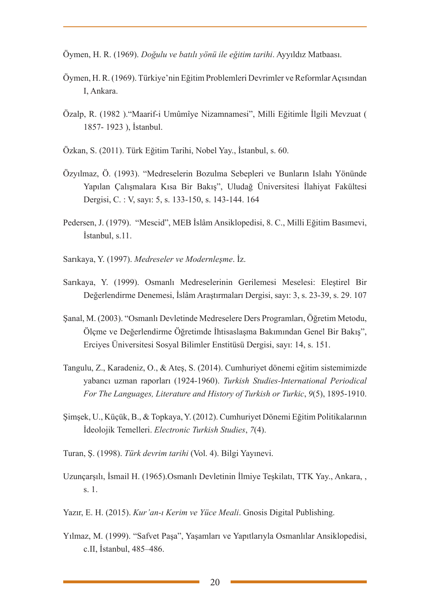Öymen, H. R. (1969). *Doğulu ve batılı yönü ile eğitim tarihi*. Ayyıldız Matbaası.

- Öymen, H. R. (1969). Türkiye'nin Eğitim Problemleri Devrimler ve Reformlar Açısından I, Ankara.
- Özalp, R. (1982 )."Maarif-i Umûmîye Nizamnamesi", Milli Eğitimle İlgili Mevzuat ( 1857- 1923 ), İstanbul.
- Özkan, S. (2011). Türk Eğitim Tarihi, Nobel Yay., İstanbul, s. 60.
- Özyılmaz, Ö. (1993). "Medreselerin Bozulma Sebepleri ve Bunların Islahı Yönünde Yapılan Çalışmalara Kısa Bir Bakış", Uludağ Üniversitesi İlahiyat Fakültesi Dergisi, C. : V, sayı: 5, s. 133-150, s. 143-144. 164
- Pedersen, J. (1979). "Mescid", MEB İslâm Ansiklopedisi, 8. C., Milli Eğitim Basımevi, İstanbul, s.11.
- Sarıkaya, Y. (1997). *Medreseler ve Modernleşme*. İz.
- Sarıkaya, Y. (1999). Osmanlı Medreselerinin Gerilemesi Meselesi: Eleştirel Bir Değerlendirme Denemesi, İslâm Araştırmaları Dergisi, sayı: 3, s. 23-39, s. 29. 107
- Şanal, M. (2003). "Osmanlı Devletinde Medreselere Ders Programları, Öğretim Metodu, Ölçme ve Değerlendirme Öğretimde İhtisaslaşma Bakımından Genel Bir Bakış", Erciyes Üniversitesi Sosyal Bilimler Enstitüsü Dergisi, sayı: 14, s. 151.
- Tangulu, Z., Karadeniz, O., & Ateş, S. (2014). Cumhuriyet dönemi eğitim sistemimizde yabancı uzman raporları (1924-1960). *Turkish Studies-International Periodical For The Languages, Literature and History of Turkish or Turkic*, *9*(5), 1895-1910.
- Şimşek, U., Küçük, B., & Topkaya, Y. (2012). Cumhuriyet Dönemi Eğitim Politikalarının İdeolojik Temelleri. *Electronic Turkish Studies*, *7*(4).
- Turan, Ş. (1998). *Türk devrim tarihi* (Vol. 4). Bilgi Yayınevi.
- Uzunçarşılı, İsmail H. (1965).Osmanlı Devletinin İlmiye Teşkilatı, TTK Yay., Ankara, , s. 1.
- Yazır, E. H. (2015). *Kur'an-ı Kerim ve Yüce Meali*. Gnosis Digital Publishing.
- Yılmaz, M. (1999). "Safvet Paşa", Yaşamları ve Yapıtlarıyla Osmanlılar Ansiklopedisi, c.II, İstanbul, 485–486.